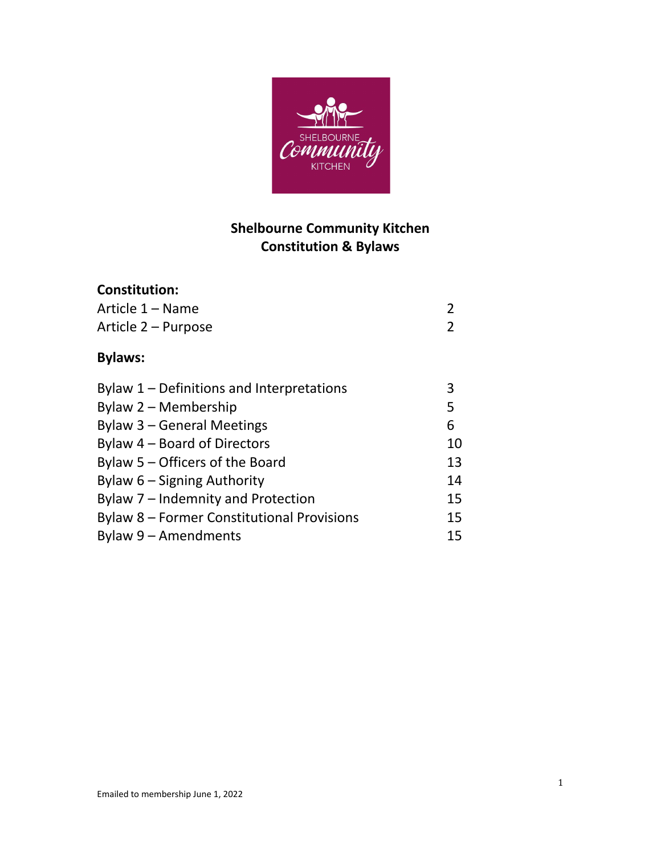

# **Shelbourne Community Kitchen Constitution & Bylaws**

# **Constitution:**

| Article 1 – Name                                  | 2  |
|---------------------------------------------------|----|
| Article 2 – Purpose                               | 2  |
| <b>Bylaws:</b>                                    |    |
| Bylaw $1$ – Definitions and Interpretations       | 3  |
| Bylaw 2 – Membership                              | 5  |
| Bylaw 3 – General Meetings                        | 6  |
| Bylaw 4 – Board of Directors                      | 10 |
| Bylaw 5 – Officers of the Board                   | 13 |
| Bylaw 6 – Signing Authority                       | 14 |
| Bylaw 7 – Indemnity and Protection                | 15 |
| <b>Bylaw 8 - Former Constitutional Provisions</b> | 15 |
| Bylaw 9 – Amendments                              | 15 |
|                                                   |    |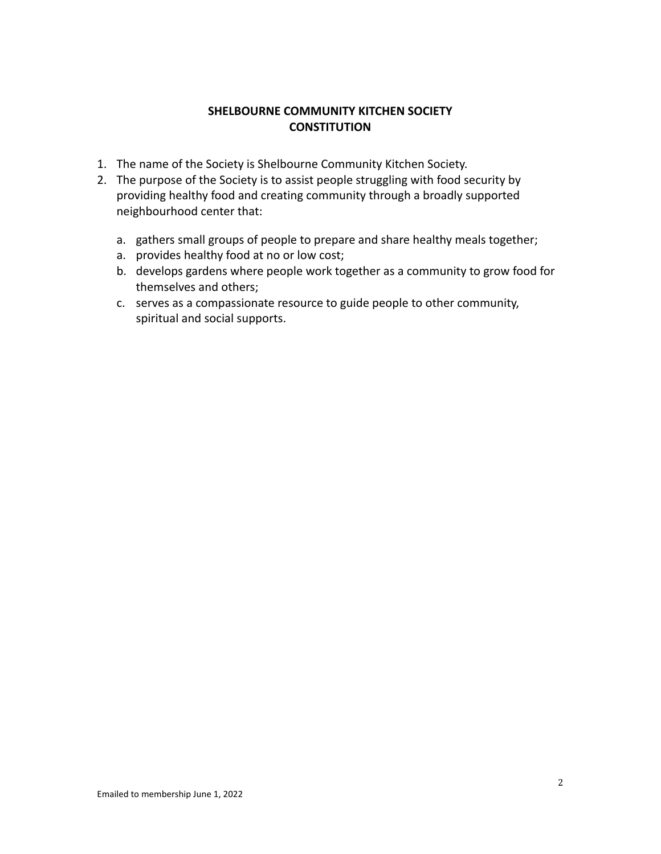#### **SHELBOURNE COMMUNITY KITCHEN SOCIETY CONSTITUTION**

- 1. The name of the Society is Shelbourne Community Kitchen Society.
- 2. The purpose of the Society is to assist people struggling with food security by providing healthy food and creating community through a broadly supported neighbourhood center that:
	- a. gathers small groups of people to prepare and share healthy meals together;
	- a. provides healthy food at no or low cost;
	- b. develops gardens where people work together as a community to grow food for themselves and others;
	- c. serves as a compassionate resource to guide people to other community, spiritual and social supports.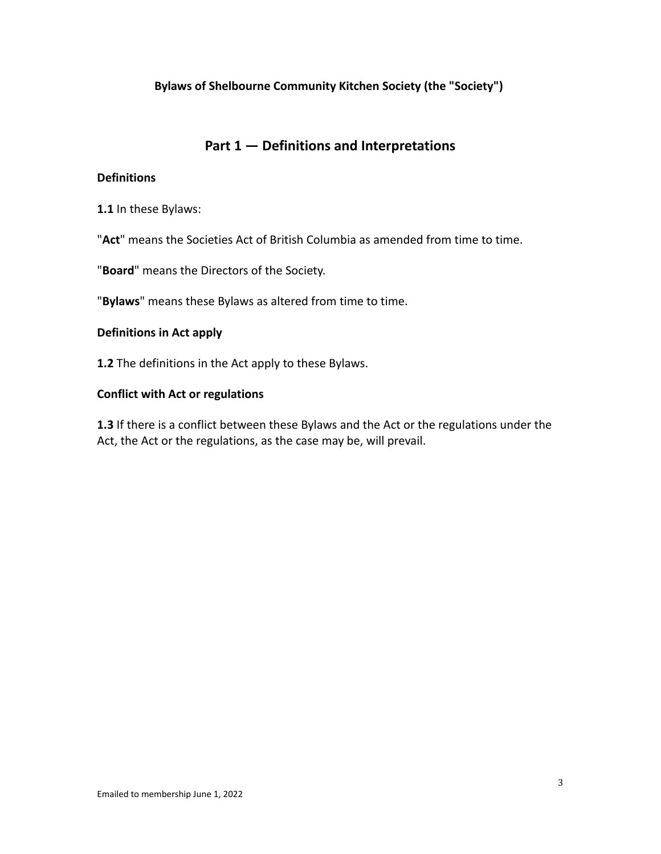#### **Bylaws of Shelbourne Community Kitchen Society (the "Society")**

# **Part 1 — Definitions and Interpretations**

#### **Definitions**

**1.1** In these Bylaws:

"**Act**" means the Societies Act of British Columbia as amended from time to time.

"**Board**" means the Directors of the Society.

"**Bylaws**" means these Bylaws as altered from time to time.

#### **Definitions in Act apply**

**1.2** The definitions in the Act apply to these Bylaws.

#### **Conflict with Act or regulations**

**1.3** If there is a conflict between these Bylaws and the Act or the regulations under the Act, the Act or the regulations, as the case may be, will prevail.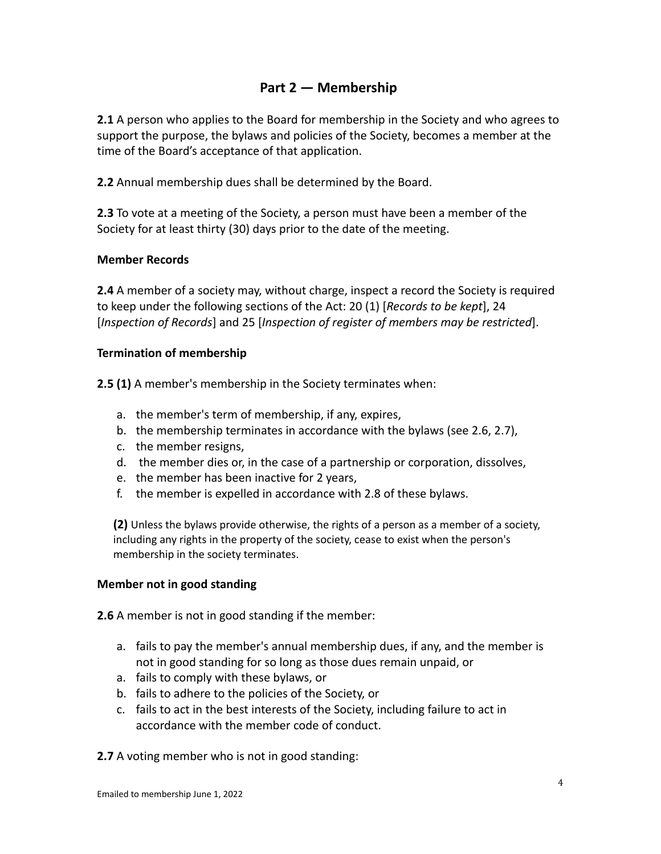# **Part 2 — Membership**

**2.1** A person who applies to the Board for membership in the Society and who agrees to support the purpose, the bylaws and policies of the Society, becomes a member at the time of the Board's acceptance of that application.

**2.2** Annual membership dues shall be determined by the Board.

**2.3** To vote at a meeting of the Society, a person must have been a member of the Society for at least thirty (30) days prior to the date of the meeting.

#### **Member Records**

**2.4** A member of a society may, without charge, inspect a record the Society is required to keep under the following sections of the Act: 20 (1) [*Records to be kept*], 24 [*Inspection of Records*] and 25 [*Inspection of register of members may be restricted*].

#### **Termination of membership**

**2.5 (1)** A member's membership in the Society terminates when:

- a. the member's term of membership, if any, expires,
- b. the membership terminates in accordance with the bylaws (see 2.6, 2.7),
- c. the member resigns,
- d. the member dies or, in the case of a partnership or corporation, dissolves,
- e. the member has been inactive for 2 years,
- f. the member is expelled in accordance with 2.8 of these bylaws.

**(2)** Unless the bylaws provide otherwise, the rights of a person as a member of a society, including any rights in the property of the society, cease to exist when the person's membership in the society terminates.

#### **Member not in good standing**

**2.6** A member is not in good standing if the member:

- a. fails to pay the member's annual membership dues, if any, and the member is not in good standing for so long as those dues remain unpaid, or
- a. fails to comply with these bylaws, or
- b. fails to adhere to the policies of the Society, or
- c. fails to act in the best interests of the Society, including failure to act in accordance with the member code of conduct.
- **2.7** A voting member who is not in good standing: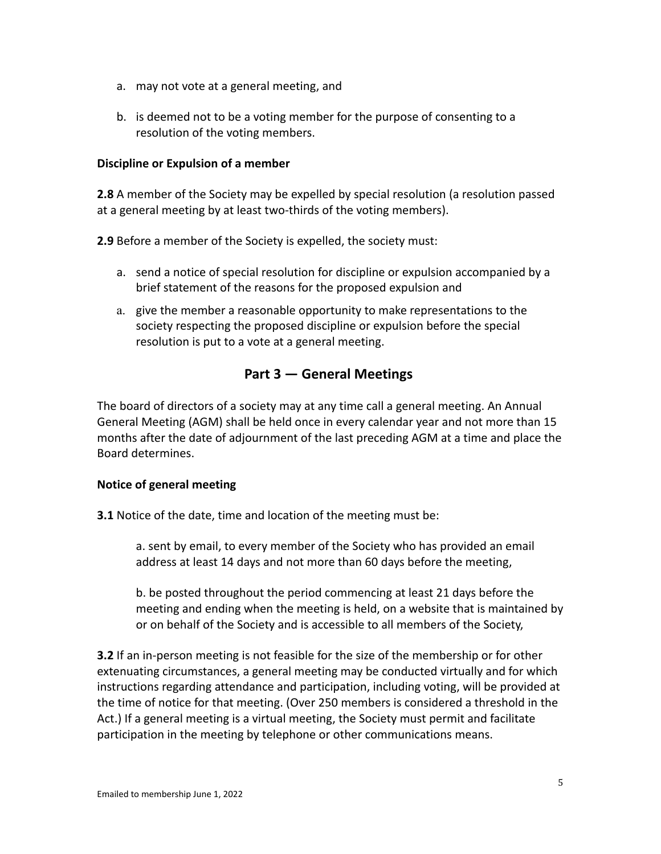- a. may not vote at a general meeting, and
- b. is deemed not to be a voting member for the purpose of consenting to a resolution of the voting members.

#### **Discipline or Expulsion of a member**

**2.8** A member of the Society may be expelled by special resolution (a resolution passed at a general meeting by at least two-thirds of the voting members).

**2.9** Before a member of the Society is expelled, the society must:

- a. send a notice of special resolution for discipline or expulsion accompanied by a brief statement of the reasons for the proposed expulsion and
- a. give the member a reasonable opportunity to make representations to the society respecting the proposed discipline or expulsion before the special resolution is put to a vote at a general meeting.

# **Part 3 — General Meetings**

The board of directors of a society may at any time call a general meeting. An Annual General Meeting (AGM) shall be held once in every calendar year and not more than 15 months after the date of adjournment of the last preceding AGM at a time and place the Board determines.

#### **Notice of general meeting**

**3.1** Notice of the date, time and location of the meeting must be:

a. sent by email, to every member of the Society who has provided an email address at least 14 days and not more than 60 days before the meeting,

b. be posted throughout the period commencing at least 21 days before the meeting and ending when the meeting is held, on a website that is maintained by or on behalf of the Society and is accessible to all members of the Society,

**3.2** If an in-person meeting is not feasible for the size of the membership or for other extenuating circumstances, a general meeting may be conducted virtually and for which instructions regarding attendance and participation, including voting, will be provided at the time of notice for that meeting. (Over 250 members is considered a threshold in the Act.) If a general meeting is a virtual meeting, the Society must permit and facilitate participation in the meeting by telephone or other communications means.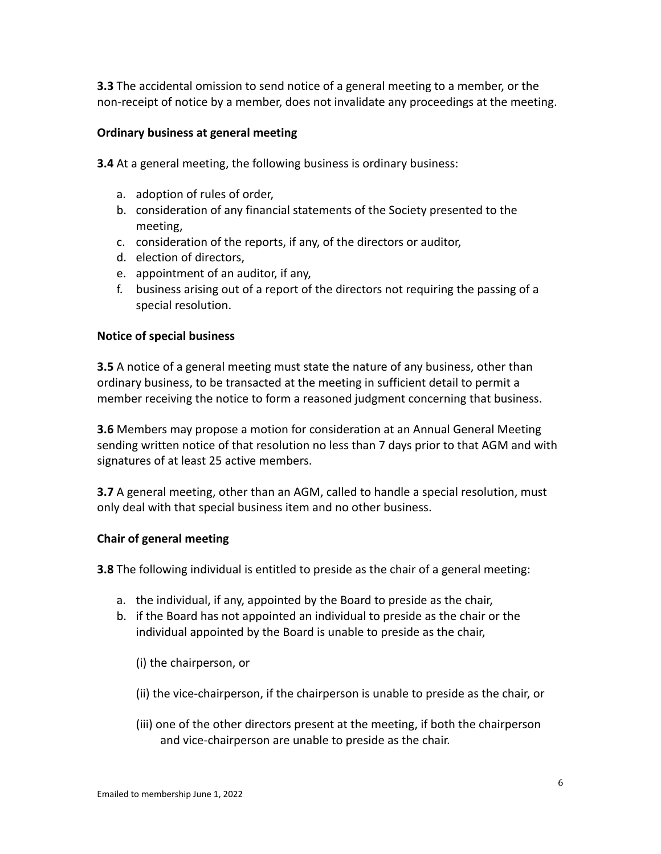**3.3** The accidental omission to send notice of a general meeting to a member, or the non-receipt of notice by a member, does not invalidate any proceedings at the meeting.

#### **Ordinary business at general meeting**

**3.4** At a general meeting, the following business is ordinary business:

- a. adoption of rules of order,
- b. consideration of any financial statements of the Society presented to the meeting,
- c. consideration of the reports, if any, of the directors or auditor,
- d. election of directors,
- e. appointment of an auditor, if any,
- f. business arising out of a report of the directors not requiring the passing of a special resolution.

#### **Notice of special business**

**3.5** A notice of a general meeting must state the nature of any business, other than ordinary business, to be transacted at the meeting in sufficient detail to permit a member receiving the notice to form a reasoned judgment concerning that business.

**3.6** Members may propose a motion for consideration at an Annual General Meeting sending written notice of that resolution no less than 7 days prior to that AGM and with signatures of at least 25 active members.

**3.7** A general meeting, other than an AGM, called to handle a special resolution, must only deal with that special business item and no other business.

#### **Chair of general meeting**

**3.8** The following individual is entitled to preside as the chair of a general meeting:

- a. the individual, if any, appointed by the Board to preside as the chair,
- b. if the Board has not appointed an individual to preside as the chair or the individual appointed by the Board is unable to preside as the chair,

(i) the chairperson, or

- (ii) the vice-chairperson, if the chairperson is unable to preside as the chair, or
- (iii) one of the other directors present at the meeting, if both the chairperson and vice-chairperson are unable to preside as the chair.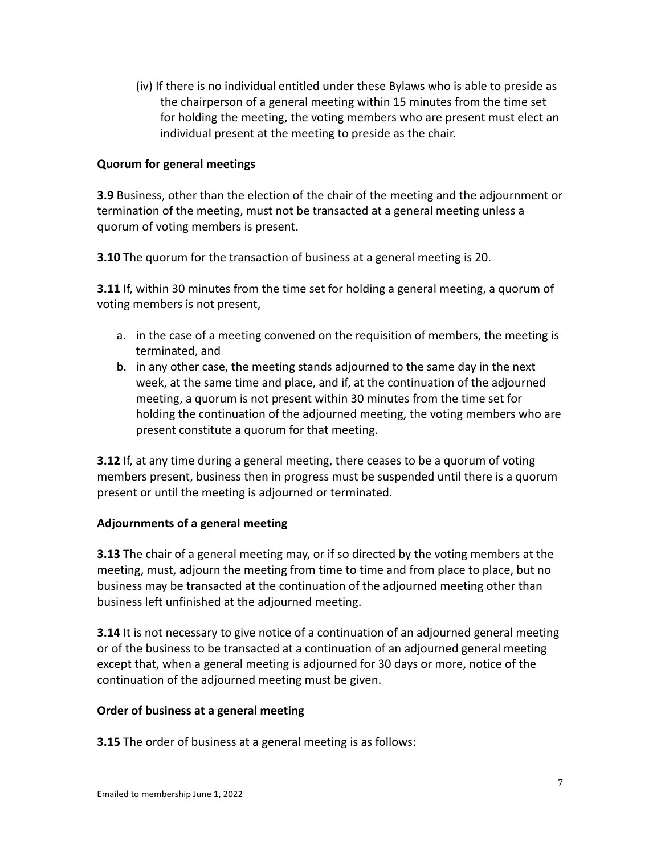(iv) If there is no individual entitled under these Bylaws who is able to preside as the chairperson of a general meeting within 15 minutes from the time set for holding the meeting, the voting members who are present must elect an individual present at the meeting to preside as the chair.

#### **Quorum for general meetings**

**3.9** Business, other than the election of the chair of the meeting and the adjournment or termination of the meeting, must not be transacted at a general meeting unless a quorum of voting members is present.

**3.10** The quorum for the transaction of business at a general meeting is 20.

**3.11** If, within 30 minutes from the time set for holding a general meeting, a quorum of voting members is not present,

- a. in the case of a meeting convened on the requisition of members, the meeting is terminated, and
- b. in any other case, the meeting stands adjourned to the same day in the next week, at the same time and place, and if, at the continuation of the adjourned meeting, a quorum is not present within 30 minutes from the time set for holding the continuation of the adjourned meeting, the voting members who are present constitute a quorum for that meeting.

**3.12** If, at any time during a general meeting, there ceases to be a quorum of voting members present, business then in progress must be suspended until there is a quorum present or until the meeting is adjourned or terminated.

#### **Adjournments of a general meeting**

**3.13** The chair of a general meeting may, or if so directed by the voting members at the meeting, must, adjourn the meeting from time to time and from place to place, but no business may be transacted at the continuation of the adjourned meeting other than business left unfinished at the adjourned meeting.

**3.14** It is not necessary to give notice of a continuation of an adjourned general meeting or of the business to be transacted at a continuation of an adjourned general meeting except that, when a general meeting is adjourned for 30 days or more, notice of the continuation of the adjourned meeting must be given.

#### **Order of business at a general meeting**

**3.15** The order of business at a general meeting is as follows: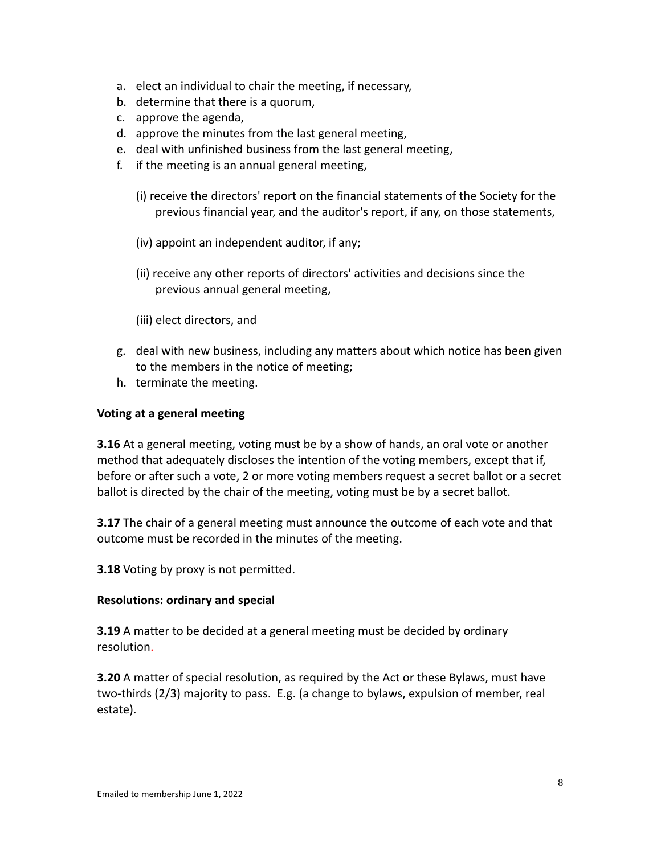- a. elect an individual to chair the meeting, if necessary,
- b. determine that there is a quorum,
- c. approve the agenda,
- d. approve the minutes from the last general meeting,
- e. deal with unfinished business from the last general meeting,
- f. if the meeting is an annual general meeting,
	- (i) receive the directors' report on the financial statements of the Society for the previous financial year, and the auditor's report, if any, on those statements,
	- (iv) appoint an independent auditor, if any;
	- (ii) receive any other reports of directors' activities and decisions since the previous annual general meeting,
	- (iii) elect directors, and
- g. deal with new business, including any matters about which notice has been given to the members in the notice of meeting;
- h. terminate the meeting.

#### **Voting at a general meeting**

**3.16** At a general meeting, voting must be by a show of hands, an oral vote or another method that adequately discloses the intention of the voting members, except that if, before or after such a vote, 2 or more voting members request a secret ballot or a secret ballot is directed by the chair of the meeting, voting must be by a secret ballot.

**3.17** The chair of a general meeting must announce the outcome of each vote and that outcome must be recorded in the minutes of the meeting.

**3.18** Voting by proxy is not permitted.

#### **Resolutions: ordinary and special**

**3.19** A matter to be decided at a general meeting must be decided by ordinary resolution.

**3.20** A matter of special resolution, as required by the Act or these Bylaws, must have two-thirds (2/3) majority to pass. E.g. (a change to bylaws, expulsion of member, real estate).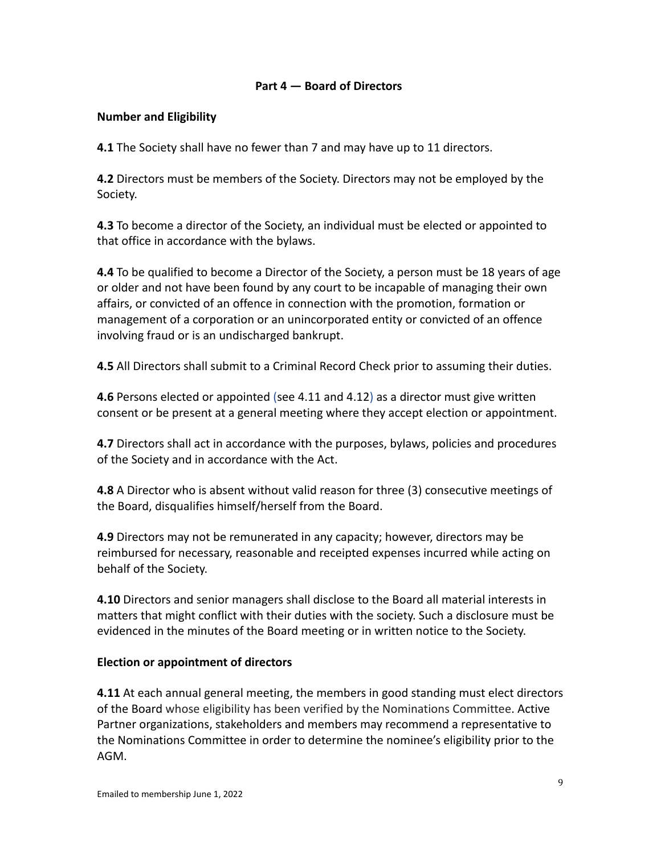#### **Part 4 — Board of Directors**

#### **Number and Eligibility**

**4.1** The Society shall have no fewer than 7 and may have up to 11 directors.

**4.2** Directors must be members of the Society. Directors may not be employed by the Society.

**4.3** To become a director of the Society, an individual must be elected or appointed to that office in accordance with the bylaws.

**4.4** To be qualified to become a Director of the Society, a person must be 18 years of age or older and not have been found by any court to be incapable of managing their own affairs, or convicted of an offence in connection with the promotion, formation or management of a corporation or an unincorporated entity or convicted of an offence involving fraud or is an undischarged bankrupt.

**4.5** All Directors shall submit to a Criminal Record Check prior to assuming their duties.

**4.6** Persons elected or appointed (see 4.11 and 4.12) as a director must give written consent or be present at a general meeting where they accept election or appointment.

**4.7** Directors shall act in accordance with the purposes, bylaws, policies and procedures of the Society and in accordance with the Act.

**4.8** A Director who is absent without valid reason for three (3) consecutive meetings of the Board, disqualifies himself/herself from the Board.

**4.9** Directors may not be remunerated in any capacity; however, directors may be reimbursed for necessary, reasonable and receipted expenses incurred while acting on behalf of the Society.

**4.10** Directors and senior managers shall disclose to the Board all material interests in matters that might conflict with their duties with the society. Such a disclosure must be evidenced in the minutes of the Board meeting or in written notice to the Society.

#### **Election or appointment of directors**

**4.11** At each annual general meeting, the members in good standing must elect directors of the Board whose eligibility has been verified by the Nominations Committee. Active Partner organizations, stakeholders and members may recommend a representative to the Nominations Committee in order to determine the nominee's eligibility prior to the AGM.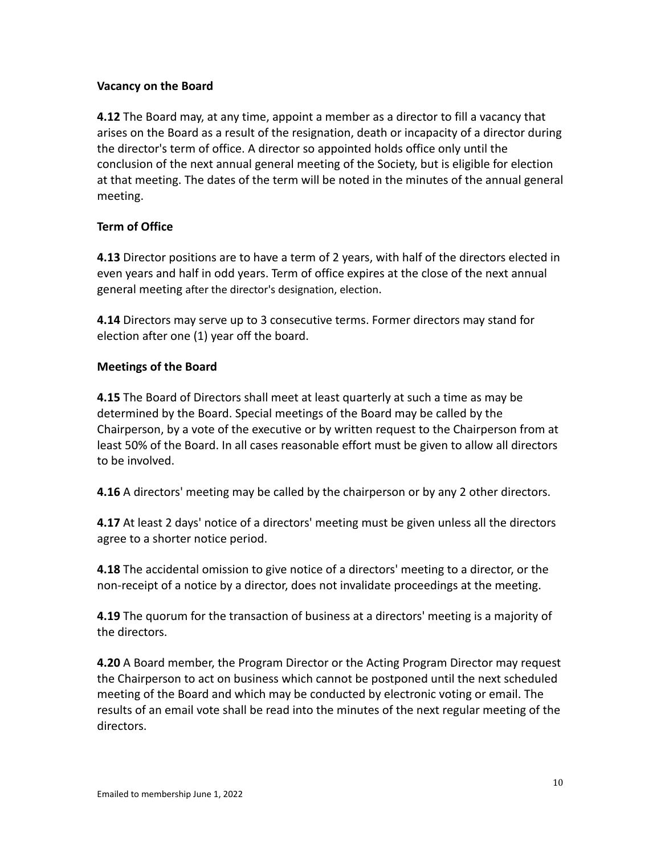#### **Vacancy on the Board**

**4.12** The Board may, at any time, appoint a member as a director to fill a vacancy that arises on the Board as a result of the resignation, death or incapacity of a director during the director's term of office. A director so appointed holds office only until the conclusion of the next annual general meeting of the Society, but is eligible for election at that meeting. The dates of the term will be noted in the minutes of the annual general meeting.

#### **Term of Office**

**4.13** Director positions are to have a term of 2 years, with half of the directors elected in even years and half in odd years. Term of office expires at the close of the next annual general meeting after the director's designation, election.

**4.14** Directors may serve up to 3 consecutive terms. Former directors may stand for election after one (1) year off the board.

#### **Meetings of the Board**

**4.15** The Board of Directors shall meet at least quarterly at such a time as may be determined by the Board. Special meetings of the Board may be called by the Chairperson, by a vote of the executive or by written request to the Chairperson from at least 50% of the Board. In all cases reasonable effort must be given to allow all directors to be involved.

**4.16** A directors' meeting may be called by the chairperson or by any 2 other directors.

**4.17** At least 2 days' notice of a directors' meeting must be given unless all the directors agree to a shorter notice period.

**4.18** The accidental omission to give notice of a directors' meeting to a director, or the non-receipt of a notice by a director, does not invalidate proceedings at the meeting.

**4.19** The quorum for the transaction of business at a directors' meeting is a majority of the directors.

**4.20** A Board member, the Program Director or the Acting Program Director may request the Chairperson to act on business which cannot be postponed until the next scheduled meeting of the Board and which may be conducted by electronic voting or email. The results of an email vote shall be read into the minutes of the next regular meeting of the directors.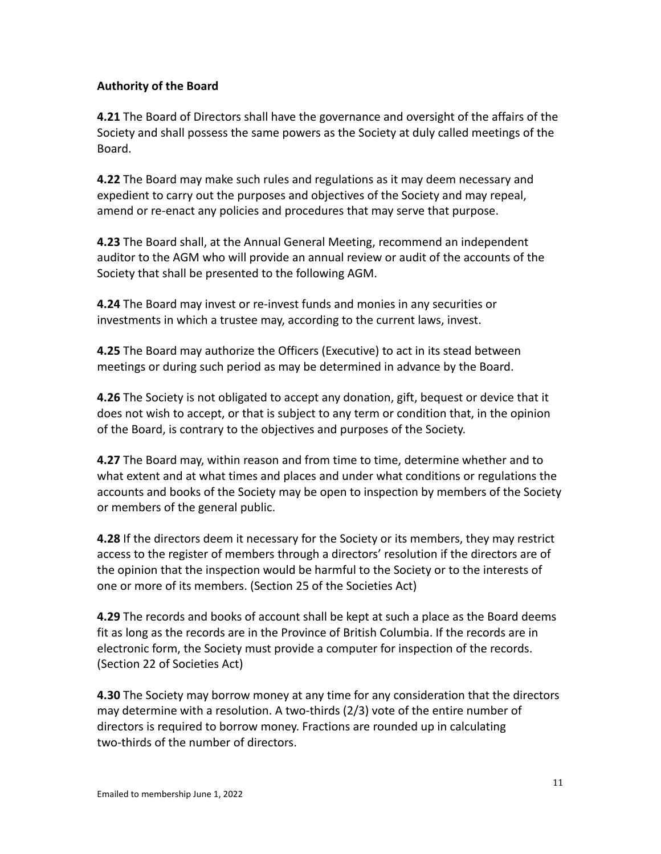#### **Authority of the Board**

**4.21** The Board of Directors shall have the governance and oversight of the affairs of the Society and shall possess the same powers as the Society at duly called meetings of the Board.

**4.22** The Board may make such rules and regulations as it may deem necessary and expedient to carry out the purposes and objectives of the Society and may repeal, amend or re-enact any policies and procedures that may serve that purpose.

**4.23** The Board shall, at the Annual General Meeting, recommend an independent auditor to the AGM who will provide an annual review or audit of the accounts of the Society that shall be presented to the following AGM.

**4.24** The Board may invest or re-invest funds and monies in any securities or investments in which a trustee may, according to the current laws, invest.

**4.25** The Board may authorize the Officers (Executive) to act in its stead between meetings or during such period as may be determined in advance by the Board.

**4.26** The Society is not obligated to accept any donation, gift, bequest or device that it does not wish to accept, or that is subject to any term or condition that, in the opinion of the Board, is contrary to the objectives and purposes of the Society.

**4.27** The Board may, within reason and from time to time, determine whether and to what extent and at what times and places and under what conditions or regulations the accounts and books of the Society may be open to inspection by members of the Society or members of the general public.

**4.28** If the directors deem it necessary for the Society or its members, they may restrict access to the register of members through a directors' resolution if the directors are of the opinion that the inspection would be harmful to the Society or to the interests of one or more of its members. (Section 25 of the Societies Act)

**4.29** The records and books of account shall be kept at such a place as the Board deems fit as long as the records are in the Province of British Columbia. If the records are in electronic form, the Society must provide a computer for inspection of the records. (Section 22 of Societies Act)

**4.30** The Society may borrow money at any time for any consideration that the directors may determine with a resolution. A two-thirds (2/3) vote of the entire number of directors is required to borrow money. Fractions are rounded up in calculating two-thirds of the number of directors.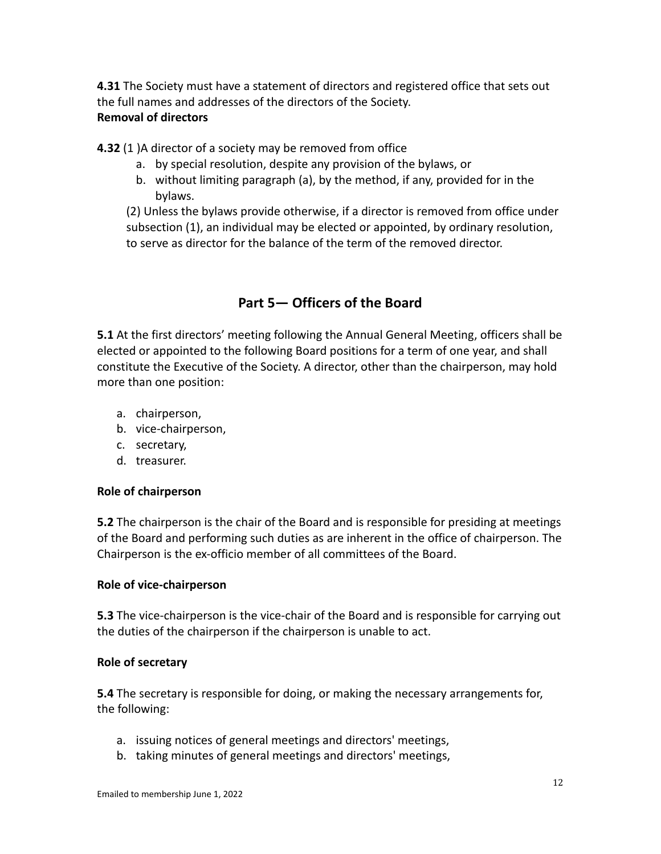**4.31** The Society must have a statement of directors and registered office that sets out the full names and addresses of the directors of the Society. **Removal of directors**

**4.32** (1 )A director of a society may be removed from office

- a. by special resolution, despite any provision of the bylaws, or
- b. without limiting paragraph (a), by the method, if any, provided for in the bylaws.

(2) Unless the bylaws provide otherwise, if a director is removed from office under subsection (1), an individual may be elected or appointed, by ordinary resolution, to serve as director for the balance of the term of the removed director.

# **Part 5— Officers of the Board**

**5.1** At the first directors' meeting following the Annual General Meeting, officers shall be elected or appointed to the following Board positions for a term of one year, and shall constitute the Executive of the Society. A director, other than the chairperson, may hold more than one position:

- a. chairperson,
- b. vice-chairperson,
- c. secretary,
- d. treasurer.

#### **Role of chairperson**

**5.2** The chairperson is the chair of the Board and is responsible for presiding at meetings of the Board and performing such duties as are inherent in the office of chairperson. The Chairperson is the ex-officio member of all committees of the Board.

#### **Role of vice-chairperson**

**5.3** The vice-chairperson is the vice-chair of the Board and is responsible for carrying out the duties of the chairperson if the chairperson is unable to act.

#### **Role of secretary**

**5.4** The secretary is responsible for doing, or making the necessary arrangements for, the following:

- a. issuing notices of general meetings and directors' meetings,
- b. taking minutes of general meetings and directors' meetings,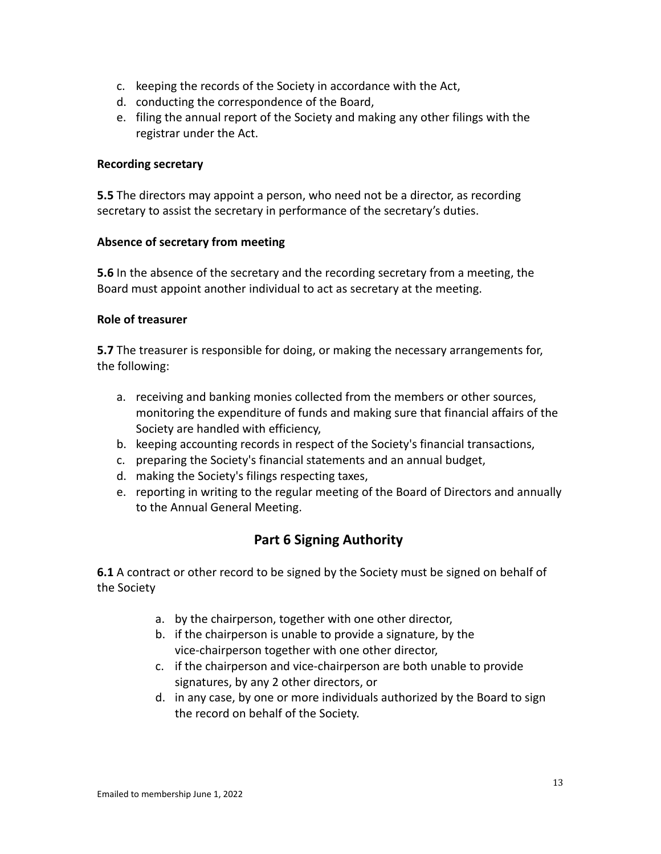- c. keeping the records of the Society in accordance with the Act,
- d. conducting the correspondence of the Board,
- e. filing the annual report of the Society and making any other filings with the registrar under the Act.

#### **Recording secretary**

**5.5** The directors may appoint a person, who need not be a director, as recording secretary to assist the secretary in performance of the secretary's duties.

#### **Absence of secretary from meeting**

**5.6** In the absence of the secretary and the recording secretary from a meeting, the Board must appoint another individual to act as secretary at the meeting.

#### **Role of treasurer**

**5.7** The treasurer is responsible for doing, or making the necessary arrangements for, the following:

- a. receiving and banking monies collected from the members or other sources, monitoring the expenditure of funds and making sure that financial affairs of the Society are handled with efficiency,
- b. keeping accounting records in respect of the Society's financial transactions,
- c. preparing the Society's financial statements and an annual budget,
- d. making the Society's filings respecting taxes,
- e. reporting in writing to the regular meeting of the Board of Directors and annually to the Annual General Meeting.

# **Part 6 Signing Authority**

**6.1** A contract or other record to be signed by the Society must be signed on behalf of the Society

- a. by the chairperson, together with one other director,
- b. if the chairperson is unable to provide a signature, by the vice-chairperson together with one other director,
- c. if the chairperson and vice-chairperson are both unable to provide signatures, by any 2 other directors, or
- d. in any case, by one or more individuals authorized by the Board to sign the record on behalf of the Society.